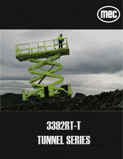



# 3392RT-T **TUNNEL SERIES**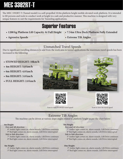# **MEC 3392RT-T**

The MEC 3392RT-T (Tunnel model) is a self-propelled 10.0m platform height mobile elevated work platform. It is intended to lift persons and tools to conduct work at height in a safe and productive manner. This machine is designed with very unique features to suit the requirements for Tunneling applications.

# Superior Features

- **1200 kg Platform Lift Capacity At Full Height 7.54m Ultra Deck Platform Fully Extended**
- **Agressive Speeds**

**• Extreme Tilt Angles**

# Unmatched Travel Speeds

Due to significant travelling distances to and from the work area in tunnel applications the maximum travel speeds has been increased to the following:

- **STOWED HEIGHT: 10km/h**
- **4m HEIGHT: 5.0 km/h**
- **6m HEIGHT: 4.0 km/h**
- **8m HEIGHT: 3.0 km/h**
- **FULL HEIGHT: 2.0 km/h**









Scan to view STOWED travel speed Scan to view 4m travel speed

# Extreme Tilt Angles

The machine can be driven at various slope angles related to platform height as per the chart below:

# **4m Height:**

# *Fore and Aft direction:*

- 8° Amber light comes on, alarm sounds, Lift/Drive continues 9° Red light comes on, alarm sounds, Lift/Drive interrupted  *Side to Side direction:* 
	- 7º Amber light comes on, alarm sounds, Lift/Drive continues 8° Red light comes on, alarm sounds, Lift/Drive interrupted

## **8m Height:**

- 4° Amber light comes on, alarm sounds, Lift/Drive continues
- 5° Red light comes on, alarm sounds, Lift /Drive interrupted

# **6m Height:**

# *Fore and Aft direction:*

7° Amber light comes on, alarm sounds, Lift/Drive continues 8° Red light comes on, alarm sounds, Lift/Drive interrupted *Side to Side direction:* 

- 5° Amber light comes on, alarm sounds, Lift/Drive continues
- 6° Red light comes on, alarm sounds, Lift/Drive interrupted

# **10m Height:**

- 3° Amber light comes on, alarm sounds, Lift/Drive continues
- 4° Red light comes on, alarm sounds, Lift/Drive interrupted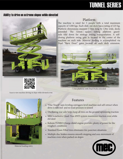# **TUNNEL SERIES**

# Ability to drive on extreme slopes while elevated

# Platform

The machine is rated for 5 people with a total maximum capacity of 1200 kgs. Each slide out deck has a rating of 225 kg. c Platform dimensions measure 7.54m long by 1.9m wide, decks P extended. The 32mm square tubing platform gaurdrails fold down for stowage during transportation. A selfclosing platform swing gate is located in the center of the c machine on each side. Material loading is accomplished via Dual "Barn Door" gates located on each deck extension. D



7.54m platform with Dual Decks extended



Scan to view machine driving on slope while elevated at 4m



Material loading entry

# Features

- "One Touch" auto leveling outriggers level machine and self-retract when drive is selected and no load pressure is sensed
- Oscillating rear axle helps keep all tires on the ground optimizing traction
- MEC's exclusive Quad-Trax 4WD system maximizes traction even while elevated
- Kubota TURBO Charge diesel engine provides plenty of power for the roughest conditions
- Standard Foam Filled tires eliminates tire puncture situations
- Multiple disc brakes ensures smooth stopping and non-movement of machine even when parked on slopes